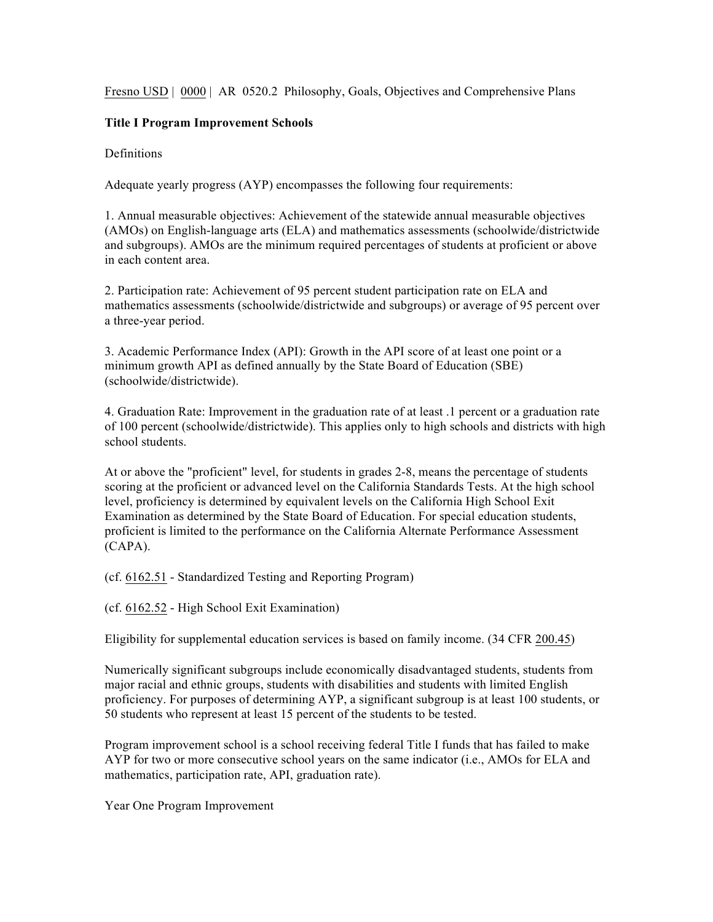Fresno USD | 0000 | AR 0520.2 Philosophy, Goals, Objectives and Comprehensive Plans

## **Title I Program Improvement Schools**

**Definitions** 

Adequate yearly progress (AYP) encompasses the following four requirements:

1. Annual measurable objectives: Achievement of the statewide annual measurable objectives (AMOs) on English-language arts (ELA) and mathematics assessments (schoolwide/districtwide and subgroups). AMOs are the minimum required percentages of students at proficient or above in each content area.

2. Participation rate: Achievement of 95 percent student participation rate on ELA and mathematics assessments (schoolwide/districtwide and subgroups) or average of 95 percent over a three-year period.

3. Academic Performance Index (API): Growth in the API score of at least one point or a minimum growth API as defined annually by the State Board of Education (SBE) (schoolwide/districtwide).

4. Graduation Rate: Improvement in the graduation rate of at least .1 percent or a graduation rate of 100 percent (schoolwide/districtwide). This applies only to high schools and districts with high school students.

At or above the "proficient" level, for students in grades 2-8, means the percentage of students scoring at the proficient or advanced level on the California Standards Tests. At the high school level, proficiency is determined by equivalent levels on the California High School Exit Examination as determined by the State Board of Education. For special education students, proficient is limited to the performance on the California Alternate Performance Assessment (CAPA).

(cf. 6162.51 - Standardized Testing and Reporting Program)

(cf. 6162.52 - High School Exit Examination)

Eligibility for supplemental education services is based on family income. (34 CFR 200.45)

Numerically significant subgroups include economically disadvantaged students, students from major racial and ethnic groups, students with disabilities and students with limited English proficiency. For purposes of determining AYP, a significant subgroup is at least 100 students, or 50 students who represent at least 15 percent of the students to be tested.

Program improvement school is a school receiving federal Title I funds that has failed to make AYP for two or more consecutive school years on the same indicator (i.e., AMOs for ELA and mathematics, participation rate, API, graduation rate).

Year One Program Improvement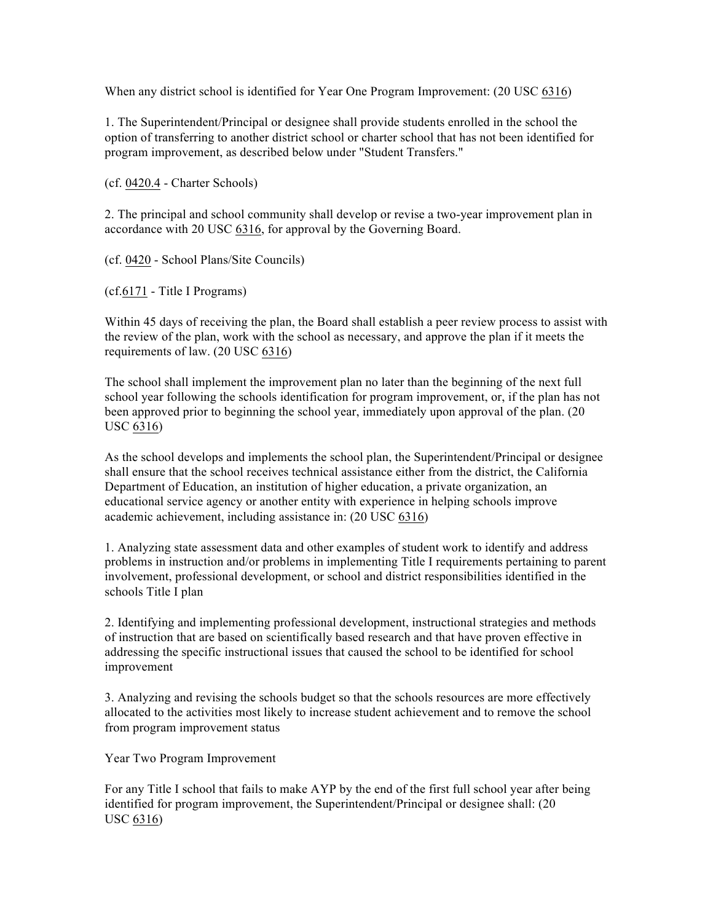When any district school is identified for Year One Program Improvement: (20 USC 6316)

1. The Superintendent/Principal or designee shall provide students enrolled in the school the option of transferring to another district school or charter school that has not been identified for program improvement, as described below under "Student Transfers."

(cf. 0420.4 - Charter Schools)

2. The principal and school community shall develop or revise a two-year improvement plan in accordance with 20 USC 6316, for approval by the Governing Board.

(cf. 0420 - School Plans/Site Councils)

(cf.6171 - Title I Programs)

Within 45 days of receiving the plan, the Board shall establish a peer review process to assist with the review of the plan, work with the school as necessary, and approve the plan if it meets the requirements of law. (20 USC 6316)

The school shall implement the improvement plan no later than the beginning of the next full school year following the schools identification for program improvement, or, if the plan has not been approved prior to beginning the school year, immediately upon approval of the plan. (20 USC 6316)

As the school develops and implements the school plan, the Superintendent/Principal or designee shall ensure that the school receives technical assistance either from the district, the California Department of Education, an institution of higher education, a private organization, an educational service agency or another entity with experience in helping schools improve academic achievement, including assistance in: (20 USC 6316)

1. Analyzing state assessment data and other examples of student work to identify and address problems in instruction and/or problems in implementing Title I requirements pertaining to parent involvement, professional development, or school and district responsibilities identified in the schools Title I plan

2. Identifying and implementing professional development, instructional strategies and methods of instruction that are based on scientifically based research and that have proven effective in addressing the specific instructional issues that caused the school to be identified for school improvement

3. Analyzing and revising the schools budget so that the schools resources are more effectively allocated to the activities most likely to increase student achievement and to remove the school from program improvement status

Year Two Program Improvement

For any Title I school that fails to make AYP by the end of the first full school year after being identified for program improvement, the Superintendent/Principal or designee shall: (20 USC 6316)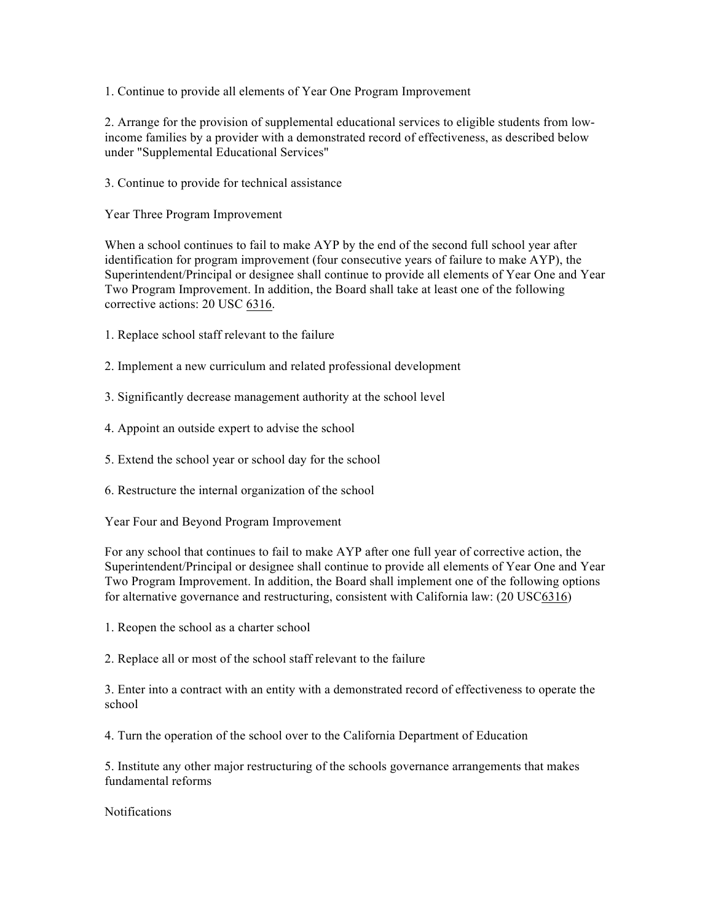1. Continue to provide all elements of Year One Program Improvement

2. Arrange for the provision of supplemental educational services to eligible students from lowincome families by a provider with a demonstrated record of effectiveness, as described below under "Supplemental Educational Services"

3. Continue to provide for technical assistance

Year Three Program Improvement

When a school continues to fail to make AYP by the end of the second full school year after identification for program improvement (four consecutive years of failure to make AYP), the Superintendent/Principal or designee shall continue to provide all elements of Year One and Year Two Program Improvement. In addition, the Board shall take at least one of the following corrective actions: 20 USC 6316.

- 1. Replace school staff relevant to the failure
- 2. Implement a new curriculum and related professional development
- 3. Significantly decrease management authority at the school level
- 4. Appoint an outside expert to advise the school
- 5. Extend the school year or school day for the school
- 6. Restructure the internal organization of the school

Year Four and Beyond Program Improvement

For any school that continues to fail to make AYP after one full year of corrective action, the Superintendent/Principal or designee shall continue to provide all elements of Year One and Year Two Program Improvement. In addition, the Board shall implement one of the following options for alternative governance and restructuring, consistent with California law: (20 USC6316)

1. Reopen the school as a charter school

2. Replace all or most of the school staff relevant to the failure

3. Enter into a contract with an entity with a demonstrated record of effectiveness to operate the school

4. Turn the operation of the school over to the California Department of Education

5. Institute any other major restructuring of the schools governance arrangements that makes fundamental reforms

**Notifications**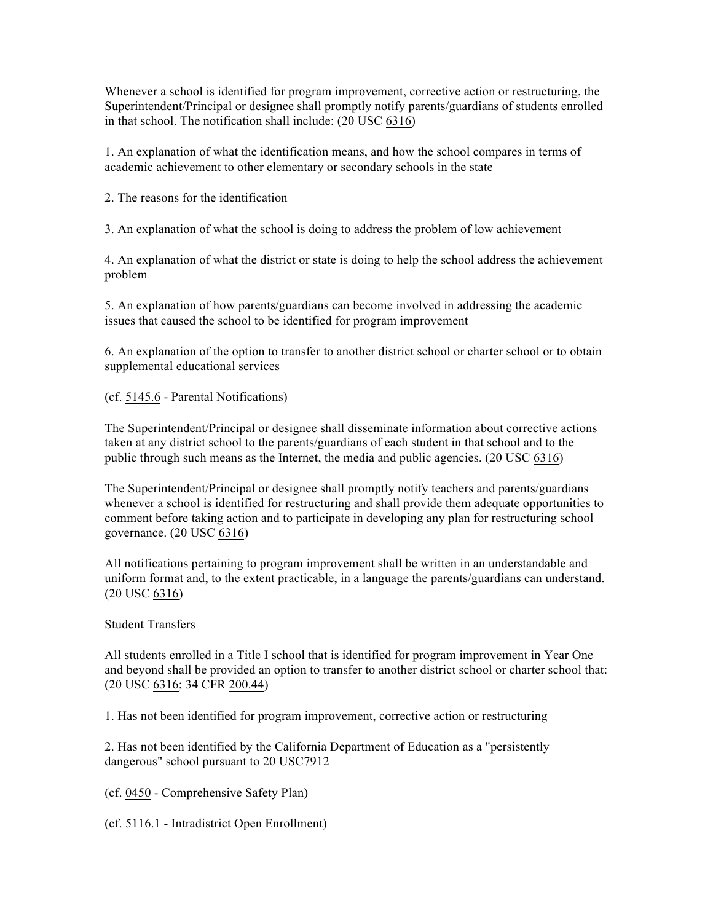Whenever a school is identified for program improvement, corrective action or restructuring, the Superintendent/Principal or designee shall promptly notify parents/guardians of students enrolled in that school. The notification shall include: (20 USC 6316)

1. An explanation of what the identification means, and how the school compares in terms of academic achievement to other elementary or secondary schools in the state

2. The reasons for the identification

3. An explanation of what the school is doing to address the problem of low achievement

4. An explanation of what the district or state is doing to help the school address the achievement problem

5. An explanation of how parents/guardians can become involved in addressing the academic issues that caused the school to be identified for program improvement

6. An explanation of the option to transfer to another district school or charter school or to obtain supplemental educational services

(cf. 5145.6 - Parental Notifications)

The Superintendent/Principal or designee shall disseminate information about corrective actions taken at any district school to the parents/guardians of each student in that school and to the public through such means as the Internet, the media and public agencies. (20 USC 6316)

The Superintendent/Principal or designee shall promptly notify teachers and parents/guardians whenever a school is identified for restructuring and shall provide them adequate opportunities to comment before taking action and to participate in developing any plan for restructuring school governance. (20 USC 6316)

All notifications pertaining to program improvement shall be written in an understandable and uniform format and, to the extent practicable, in a language the parents/guardians can understand. (20 USC 6316)

Student Transfers

All students enrolled in a Title I school that is identified for program improvement in Year One and beyond shall be provided an option to transfer to another district school or charter school that: (20 USC 6316; 34 CFR 200.44)

1. Has not been identified for program improvement, corrective action or restructuring

2. Has not been identified by the California Department of Education as a "persistently dangerous" school pursuant to 20 USC7912

(cf. 0450 - Comprehensive Safety Plan)

(cf. 5116.1 - Intradistrict Open Enrollment)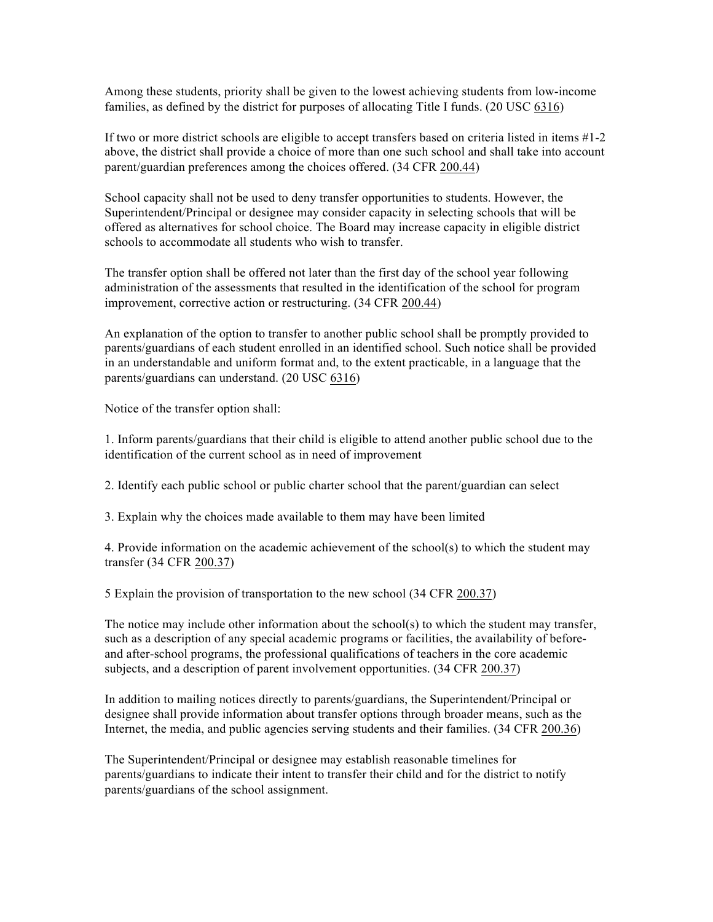Among these students, priority shall be given to the lowest achieving students from low-income families, as defined by the district for purposes of allocating Title I funds. (20 USC 6316)

If two or more district schools are eligible to accept transfers based on criteria listed in items #1-2 above, the district shall provide a choice of more than one such school and shall take into account parent/guardian preferences among the choices offered. (34 CFR 200.44)

School capacity shall not be used to deny transfer opportunities to students. However, the Superintendent/Principal or designee may consider capacity in selecting schools that will be offered as alternatives for school choice. The Board may increase capacity in eligible district schools to accommodate all students who wish to transfer.

The transfer option shall be offered not later than the first day of the school year following administration of the assessments that resulted in the identification of the school for program improvement, corrective action or restructuring. (34 CFR 200.44)

An explanation of the option to transfer to another public school shall be promptly provided to parents/guardians of each student enrolled in an identified school. Such notice shall be provided in an understandable and uniform format and, to the extent practicable, in a language that the parents/guardians can understand. (20 USC 6316)

Notice of the transfer option shall:

1. Inform parents/guardians that their child is eligible to attend another public school due to the identification of the current school as in need of improvement

2. Identify each public school or public charter school that the parent/guardian can select

3. Explain why the choices made available to them may have been limited

4. Provide information on the academic achievement of the school(s) to which the student may transfer (34 CFR 200.37)

5 Explain the provision of transportation to the new school (34 CFR 200.37)

The notice may include other information about the school(s) to which the student may transfer, such as a description of any special academic programs or facilities, the availability of beforeand after-school programs, the professional qualifications of teachers in the core academic subjects, and a description of parent involvement opportunities. (34 CFR 200.37)

In addition to mailing notices directly to parents/guardians, the Superintendent/Principal or designee shall provide information about transfer options through broader means, such as the Internet, the media, and public agencies serving students and their families. (34 CFR 200.36)

The Superintendent/Principal or designee may establish reasonable timelines for parents/guardians to indicate their intent to transfer their child and for the district to notify parents/guardians of the school assignment.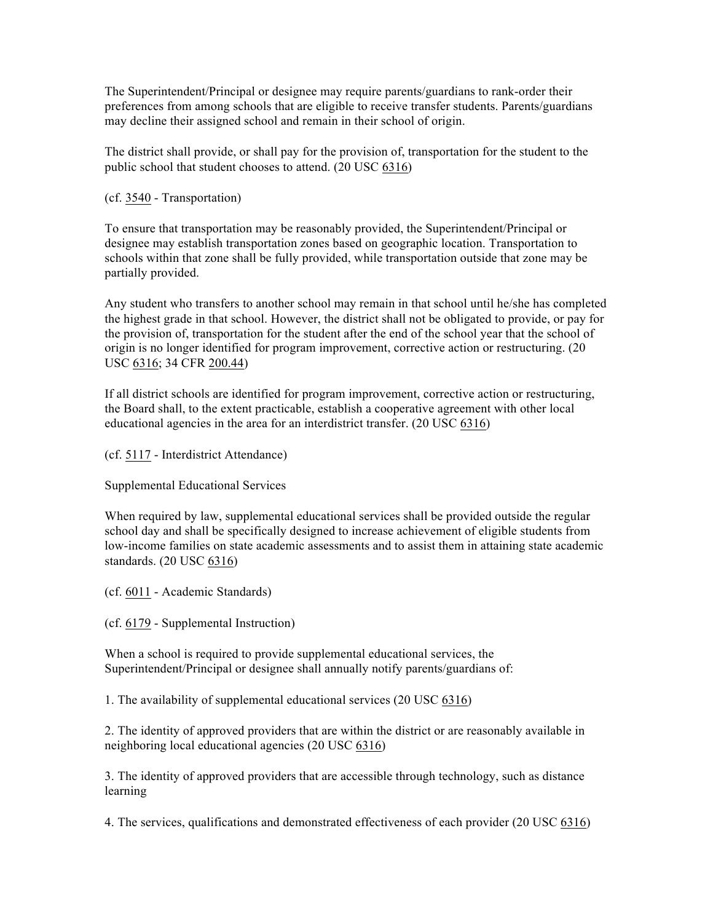The Superintendent/Principal or designee may require parents/guardians to rank-order their preferences from among schools that are eligible to receive transfer students. Parents/guardians may decline their assigned school and remain in their school of origin.

The district shall provide, or shall pay for the provision of, transportation for the student to the public school that student chooses to attend. (20 USC 6316)

(cf. 3540 - Transportation)

To ensure that transportation may be reasonably provided, the Superintendent/Principal or designee may establish transportation zones based on geographic location. Transportation to schools within that zone shall be fully provided, while transportation outside that zone may be partially provided.

Any student who transfers to another school may remain in that school until he/she has completed the highest grade in that school. However, the district shall not be obligated to provide, or pay for the provision of, transportation for the student after the end of the school year that the school of origin is no longer identified for program improvement, corrective action or restructuring. (20 USC 6316; 34 CFR 200.44)

If all district schools are identified for program improvement, corrective action or restructuring, the Board shall, to the extent practicable, establish a cooperative agreement with other local educational agencies in the area for an interdistrict transfer. (20 USC 6316)

(cf. 5117 - Interdistrict Attendance)

Supplemental Educational Services

When required by law, supplemental educational services shall be provided outside the regular school day and shall be specifically designed to increase achievement of eligible students from low-income families on state academic assessments and to assist them in attaining state academic standards. (20 USC 6316)

(cf. 6011 - Academic Standards)

(cf. 6179 - Supplemental Instruction)

When a school is required to provide supplemental educational services, the Superintendent/Principal or designee shall annually notify parents/guardians of:

1. The availability of supplemental educational services (20 USC 6316)

2. The identity of approved providers that are within the district or are reasonably available in neighboring local educational agencies (20 USC 6316)

3. The identity of approved providers that are accessible through technology, such as distance learning

4. The services, qualifications and demonstrated effectiveness of each provider (20 USC 6316)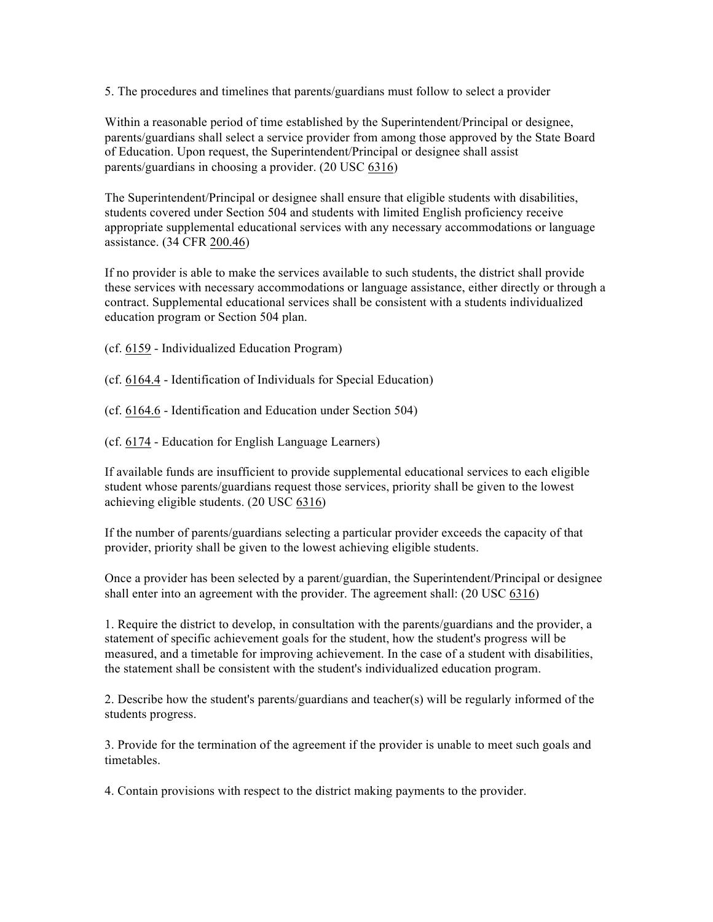5. The procedures and timelines that parents/guardians must follow to select a provider

Within a reasonable period of time established by the Superintendent/Principal or designee, parents/guardians shall select a service provider from among those approved by the State Board of Education. Upon request, the Superintendent/Principal or designee shall assist parents/guardians in choosing a provider. (20 USC 6316)

The Superintendent/Principal or designee shall ensure that eligible students with disabilities, students covered under Section 504 and students with limited English proficiency receive appropriate supplemental educational services with any necessary accommodations or language assistance. (34 CFR 200.46)

If no provider is able to make the services available to such students, the district shall provide these services with necessary accommodations or language assistance, either directly or through a contract. Supplemental educational services shall be consistent with a students individualized education program or Section 504 plan.

- (cf. 6159 Individualized Education Program)
- (cf. 6164.4 Identification of Individuals for Special Education)
- (cf. 6164.6 Identification and Education under Section 504)
- (cf. 6174 Education for English Language Learners)

If available funds are insufficient to provide supplemental educational services to each eligible student whose parents/guardians request those services, priority shall be given to the lowest achieving eligible students. (20 USC 6316)

If the number of parents/guardians selecting a particular provider exceeds the capacity of that provider, priority shall be given to the lowest achieving eligible students.

Once a provider has been selected by a parent/guardian, the Superintendent/Principal or designee shall enter into an agreement with the provider. The agreement shall: (20 USC 6316)

1. Require the district to develop, in consultation with the parents/guardians and the provider, a statement of specific achievement goals for the student, how the student's progress will be measured, and a timetable for improving achievement. In the case of a student with disabilities, the statement shall be consistent with the student's individualized education program.

2. Describe how the student's parents/guardians and teacher(s) will be regularly informed of the students progress.

3. Provide for the termination of the agreement if the provider is unable to meet such goals and timetables.

4. Contain provisions with respect to the district making payments to the provider.